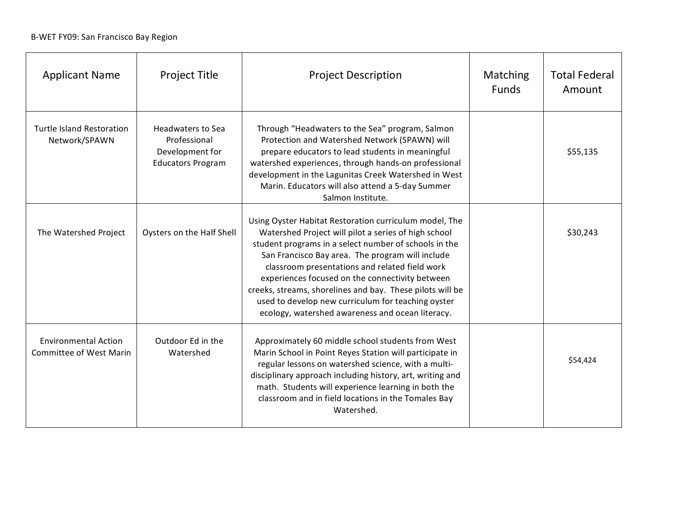| <b>Applicant Name</b>                                         | <b>Project Title</b>                                                                    | <b>Project Description</b>                                                                                                                                                                                                                                                                                                                                                                                                                                                                              | Matching<br><b>Funds</b> | <b>Total Federal</b><br>Amount |
|---------------------------------------------------------------|-----------------------------------------------------------------------------------------|---------------------------------------------------------------------------------------------------------------------------------------------------------------------------------------------------------------------------------------------------------------------------------------------------------------------------------------------------------------------------------------------------------------------------------------------------------------------------------------------------------|--------------------------|--------------------------------|
| <b>Turtle Island Restoration</b><br>Network/SPAWN             | <b>Headwaters to Sea</b><br>Professional<br>Development for<br><b>Educators Program</b> | Through "Headwaters to the Sea" program, Salmon<br>Protection and Watershed Network (SPAWN) will<br>prepare educators to lead students in meaningful<br>watershed experiences, through hands-on professional<br>development in the Lagunitas Creek Watershed in West<br>Marin. Educators will also attend a 5-day Summer<br>Salmon Institute.                                                                                                                                                           |                          | \$55,135                       |
| The Watershed Project                                         | Oysters on the Half Shell                                                               | Using Oyster Habitat Restoration curriculum model, The<br>Watershed Project will pilot a series of high school<br>student programs in a select number of schools in the<br>San Francisco Bay area. The program will include<br>classroom presentations and related field work<br>experiences focused on the connectivity between<br>creeks, streams, shorelines and bay. These pilots will be<br>used to develop new curriculum for teaching oyster<br>ecology, watershed awareness and ocean literacy. |                          | \$30,243                       |
| <b>Environmental Action</b><br><b>Committee of West Marin</b> | Outdoor Ed in the<br>Watershed                                                          | Approximately 60 middle school students from West<br>Marin School in Point Reyes Station will participate in<br>regular lessons on watershed science, with a multi-<br>disciplinary approach including history, art, writing and<br>math. Students will experience learning in both the<br>classroom and in field locations in the Tomales Bay<br>Watershed.                                                                                                                                            |                          | \$54,424                       |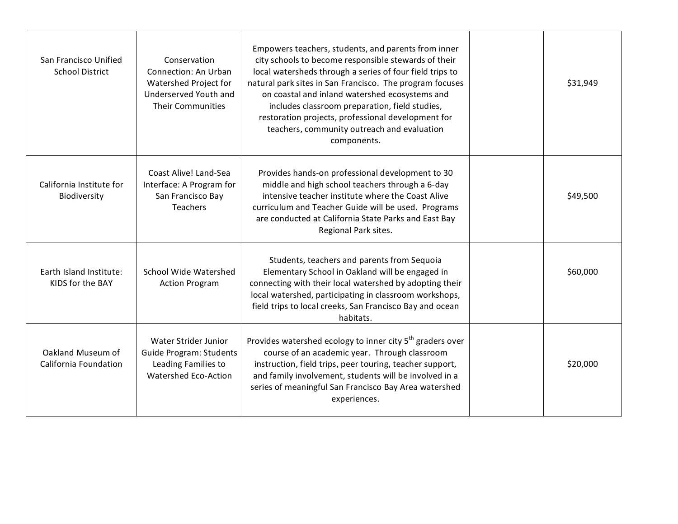| San Francisco Unified<br><b>School District</b> | Conservation<br>Connection: An Urban<br>Watershed Project for<br>Underserved Youth and<br><b>Their Communities</b> | Empowers teachers, students, and parents from inner<br>city schools to become responsible stewards of their<br>local watersheds through a series of four field trips to<br>natural park sites in San Francisco. The program focuses<br>on coastal and inland watershed ecosystems and<br>includes classroom preparation, field studies,<br>restoration projects, professional development for<br>teachers, community outreach and evaluation<br>components. | \$31,949 |
|-------------------------------------------------|--------------------------------------------------------------------------------------------------------------------|-------------------------------------------------------------------------------------------------------------------------------------------------------------------------------------------------------------------------------------------------------------------------------------------------------------------------------------------------------------------------------------------------------------------------------------------------------------|----------|
| California Institute for<br>Biodiversity        | Coast Alive! Land-Sea<br>Interface: A Program for<br>San Francisco Bay<br><b>Teachers</b>                          | Provides hands-on professional development to 30<br>middle and high school teachers through a 6-day<br>intensive teacher institute where the Coast Alive<br>curriculum and Teacher Guide will be used. Programs<br>are conducted at California State Parks and East Bay<br>Regional Park sites.                                                                                                                                                             | \$49,500 |
| Earth Island Institute:<br>KIDS for the BAY     | School Wide Watershed<br><b>Action Program</b>                                                                     | Students, teachers and parents from Sequoia<br>Elementary School in Oakland will be engaged in<br>connecting with their local watershed by adopting their<br>local watershed, participating in classroom workshops,<br>field trips to local creeks, San Francisco Bay and ocean<br>habitats.                                                                                                                                                                | \$60,000 |
| Oakland Museum of<br>California Foundation      | Water Strider Junior<br><b>Guide Program: Students</b><br>Leading Families to<br>Watershed Eco-Action              | Provides watershed ecology to inner city 5 <sup>th</sup> graders over<br>course of an academic year. Through classroom<br>instruction, field trips, peer touring, teacher support,<br>and family involvement, students will be involved in a<br>series of meaningful San Francisco Bay Area watershed<br>experiences.                                                                                                                                       | \$20,000 |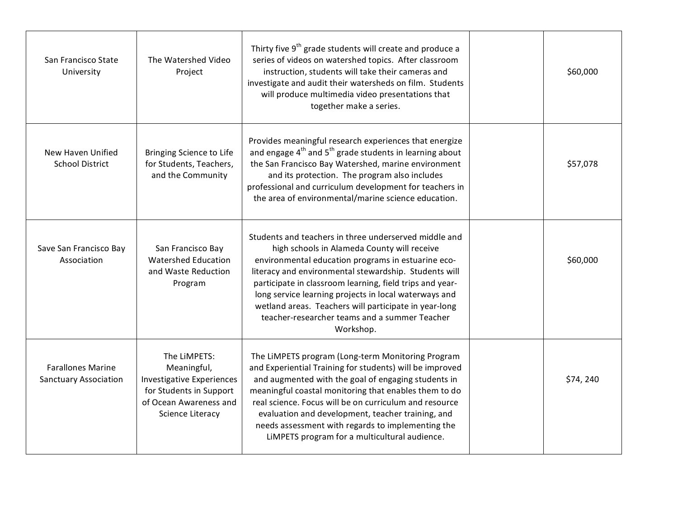| San Francisco State<br>University                        | The Watershed Video<br>Project                                                                                                    | Thirty five 9 <sup>th</sup> grade students will create and produce a<br>series of videos on watershed topics. After classroom<br>instruction, students will take their cameras and<br>investigate and audit their watersheds on film. Students<br>will produce multimedia video presentations that<br>together make a series.                                                                                                                                   | \$60,000 |
|----------------------------------------------------------|-----------------------------------------------------------------------------------------------------------------------------------|-----------------------------------------------------------------------------------------------------------------------------------------------------------------------------------------------------------------------------------------------------------------------------------------------------------------------------------------------------------------------------------------------------------------------------------------------------------------|----------|
| New Haven Unified<br><b>School District</b>              | Bringing Science to Life<br>for Students, Teachers,<br>and the Community                                                          | Provides meaningful research experiences that energize<br>and engage 4 <sup>th</sup> and 5 <sup>th</sup> grade students in learning about<br>the San Francisco Bay Watershed, marine environment<br>and its protection. The program also includes<br>professional and curriculum development for teachers in<br>the area of environmental/marine science education.                                                                                             | \$57,078 |
| Save San Francisco Bay<br>Association                    | San Francisco Bay<br>Watershed Education<br>and Waste Reduction<br>Program                                                        | Students and teachers in three underserved middle and<br>high schools in Alameda County will receive<br>environmental education programs in estuarine eco-<br>literacy and environmental stewardship. Students will<br>participate in classroom learning, field trips and year-<br>long service learning projects in local waterways and<br>wetland areas. Teachers will participate in year-long<br>teacher-researcher teams and a summer Teacher<br>Workshop. | \$60,000 |
| <b>Farallones Marine</b><br><b>Sanctuary Association</b> | The LiMPETS:<br>Meaningful,<br>Investigative Experiences<br>for Students in Support<br>of Ocean Awareness and<br>Science Literacy | The LIMPETS program (Long-term Monitoring Program<br>and Experiential Training for students) will be improved<br>and augmented with the goal of engaging students in<br>meaningful coastal monitoring that enables them to do<br>real science. Focus will be on curriculum and resource<br>evaluation and development, teacher training, and<br>needs assessment with regards to implementing the<br>LIMPETS program for a multicultural audience.              | \$74,240 |